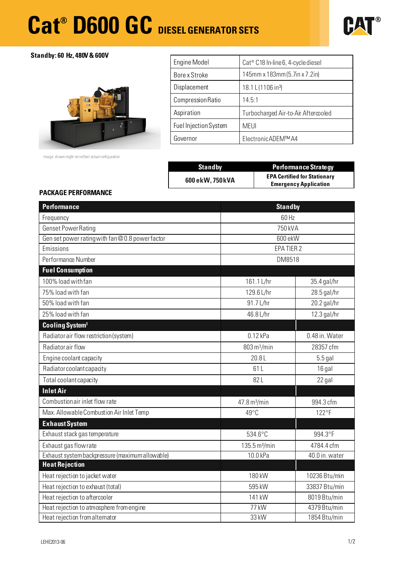# **Cat® D600 GC DIESEL GENERATOR SETS**



# **Standby: 60 Hz, 480V & 600V**



| Engine Model          | Cat <sup>®</sup> C18 In-line 6, 4-cycle diesel |  |  |
|-----------------------|------------------------------------------------|--|--|
| Bore x Stroke         | 145mm x 183mm (5.7in x 7.2in)                  |  |  |
| Displacement          | 18.1 L (1106 in <sup>3</sup> )                 |  |  |
| Compression Ratio     | 14.5:1                                         |  |  |
| Aspiration            | Turbocharged Air-to-Air Aftercooled            |  |  |
| Fuel Injection System | <b>MEUI</b>                                    |  |  |
| Governor              | Electronic ADEM™A4                             |  |  |

Image shown might not reflect actual configuration

| <b>Standby</b>   | <b>Performance Strategy</b>                                         |
|------------------|---------------------------------------------------------------------|
| 600 ekW, 750 kVA | <b>EPA Certified for Stationary</b><br><b>Emergency Application</b> |

## **PACKAGE PERFORMANCE**

| <b>Performance</b>                              | <b>Standby</b>               |                |
|-------------------------------------------------|------------------------------|----------------|
| Frequency                                       | 60 Hz                        |                |
| <b>Genset Power Rating</b>                      | 750 kVA                      |                |
| Gen set power rating with fan @0.8 power factor | 600 ekW                      |                |
| Emissions                                       | EPA TIER 2                   |                |
| Performance Number                              | DM8518                       |                |
| <b>Fuel Consumption</b>                         |                              |                |
| 100% load with fan                              | 161.1 L/hr                   | 35.4 gal/hr    |
| 75% load with fan                               | 129.6 L/hr                   | 28.5 gal/hr    |
| 50% load with fan                               | 91.7 L/hr                    | 20.2 gal/hr    |
| 25% load with fan                               | 46.8 L/hr                    | 12.3 gal/hr    |
| Cooling System <sup>1</sup>                     |                              |                |
| Radiator air flow restriction (system)          | 0.12 kPa                     | 0.48 in. Water |
| Radiatorair flow                                | $803 \text{ m}^3/\text{min}$ | 28357 cfm      |
| Engine coolant capacity                         | 20.8 <sub>L</sub>            | $5.5$ gal      |
| Radiator coolant capacity                       | 61 L                         | 16 gal         |
| Total coolant capacity                          | 82L<br>22 gal                |                |
| <b>Inlet Air</b>                                |                              |                |
| Combustion air inlet flow rate                  | 47.8 m <sup>3</sup> /min     | 994.3 cfm      |
| Max. Allowable Combustion Air Inlet Temp        | 49°C                         | 122°F          |
| <b>Exhaust System</b>                           |                              |                |
| Exhaust stack gas temperature                   | 534.6°C                      | 994.3°F        |
| Exhaust gas flow rate                           | 135.5 m <sup>3</sup> /min    | 4784.4 cfm     |
| Exhaust system backpressure (maximum allowable) | 10.0 kPa                     | 40.0 in. water |
| <b>Heat Rejection</b>                           |                              |                |
| Heat rejection to jacket water                  | 180 kW                       | 10236 Btu/min  |
| Heat rejection to exhaust (total)               | 595 kW                       | 33837 Btu/min  |
| Heat rejection to aftercooler                   | 141 kW                       | 8019 Btu/min   |
| Heat rejection to atmosphere from engine        | 77 kW                        | 4379 Btu/min   |
| Heat rejection from alternator<br>33 kW         |                              | 1854 Btu/min   |